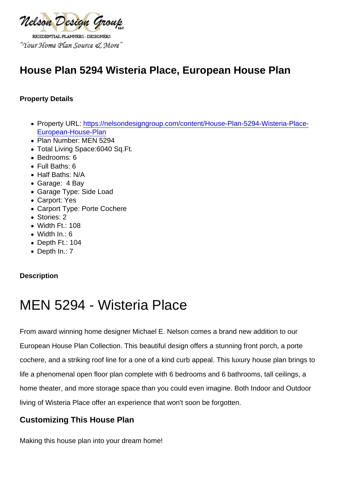# House Plan 5294 Wisteria Place, European House Plan

Property Details

- Property URL: [https://nelsondesigngroup.com/content/House-Plan-5294-Wisteria-Place-](https://nelsondesigngroup.com/content/House-Plan-5294-Wisteria-Place-European-House-Plan)[European-House-Plan](https://nelsondesigngroup.com/content/House-Plan-5294-Wisteria-Place-European-House-Plan)
- Plan Number: MEN 5294
- Total Living Space:6040 Sq.Ft.
- Bedrooms: 6
- Full Baths: 6
- Half Baths: N/A
- Garage: 4 Bay
- Garage Type: Side Load
- Carport: Yes
- Carport Type: Porte Cochere
- Stories: 2
- Width Ft.: 108
- Width In.: 6
- Depth Ft.: 104
- Depth In.: 7

**Description** 

# MEN 5294 - Wisteria Place

From award winning home designer Michael E. Nelson comes a brand new addition to our European House Plan Collection. This beautiful design offers a stunning front porch, a porte cochere, and a striking roof line for a one of a kind curb appeal. This luxury house plan brings to life a phenomenal open floor plan complete with 6 bedrooms and 6 bathrooms, tall ceilings, a home theater, and more storage space than you could even imagine. Both Indoor and Outdoor living of Wisteria Place offer an experience that won't soon be forgotten.

## Customizing This House Plan

Making this house plan into your dream home!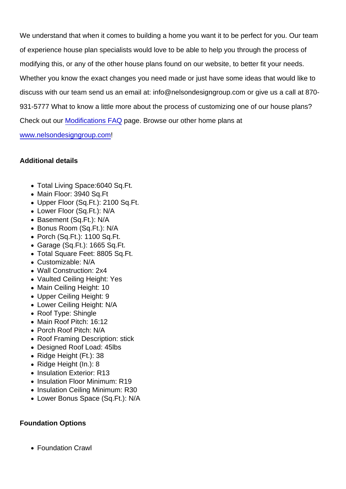We understand that when it comes to building a home you want it to be perfect for you. Our team of experience house plan specialists would love to be able to help you through the process of modifying this, or any of the other house plans found on our website, to better fit your needs. Whether you know the exact changes you need made or just have some ideas that would like to discuss with our team send us an email at: info@nelsondesigngroup.com or give us a call at 870- 931-5777 What to know a little more about the process of customizing one of our house plans? Check out our [Modifications FAQ](https://www.nelsondesigngroup.com/content/modification-faq) page. Browse our other home plans at

[www.nelsondesigngroup.com!](http://www.nelsondesigngroup.com/)

Additional details

- Total Living Space:6040 Sq.Ft.
- Main Floor: 3940 Sq.Ft
- Upper Floor (Sq.Ft.): 2100 Sq.Ft.
- Lower Floor (Sq.Ft.): N/A
- Basement (Sq.Ft.): N/A
- Bonus Room (Sq.Ft.): N/A
- Porch (Sq.Ft.): 1100 Sq.Ft.
- Garage (Sq.Ft.): 1665 Sq.Ft.
- Total Square Feet: 8805 Sq.Ft.
- Customizable: N/A
- Wall Construction: 2x4
- Vaulted Ceiling Height: Yes
- Main Ceiling Height: 10
- Upper Ceiling Height: 9
- Lower Ceiling Height: N/A
- Roof Type: Shingle
- Main Roof Pitch: 16:12
- Porch Roof Pitch: N/A
- Roof Framing Description: stick
- Designed Roof Load: 45lbs
- Ridge Height (Ft.): 38
- Ridge Height (In.): 8
- Insulation Exterior: R13
- Insulation Floor Minimum: R19
- Insulation Ceiling Minimum: R30
- Lower Bonus Space (Sq.Ft.): N/A

Foundation Options

Foundation Crawl